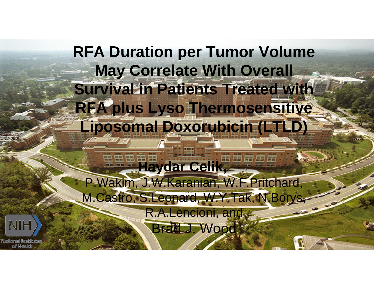# **RFA Duration per Tumor Volume May Correlate With Overall Survival in Patients Treated with RFA plus Lyso Thermosensitive Liposomal Doxorubicin (LTLD)**

**Haydar Celik, SHEEF** P.Wakim, J.W.Karanian, W.F.Pritchard, M.Castro, S.Leonard, W.Y.Tak, N.Borys,

> R.A.Lencioni, and Brad J. Wood

Nadional Institut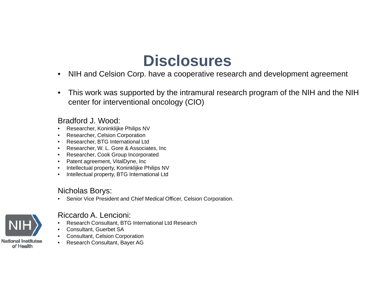## **Disclosures**

- $\bullet$ NIH and Celsion Corp. have a cooperative research and development agreement
- • This work was supported by the intramural research program of the NIH and the NIH center for interventional oncology (CIO)

#### Bradford J. Wood:

- •Researcher, Koninklijke Philips NV
- •Researcher, Celsion Corporation
- •Researcher, BTG International Ltd
- •Researcher, W. L. Gore & Associates, Inc
- Researcher, Cook Group Incorporated
- Patent agreement, VitalDyne, Inc
- •Intellectual property, Koninklijke Philips NV
- •Intellectual property, BTG International Ltd

#### Nicholas Borys:

•Senior Vice President and Chief Medical Officer, Celsion Corporation.



#### Riccardo A. Lencioni:

- •Research Consultant, BTG International Ltd Research
- •Consultant, Guerbet SA
- •Consultant, Celsion Corporation
- •Research Consultant, Bayer AG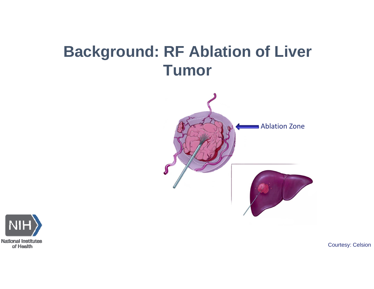# **Background: RF Ablation of Liver Tumor**



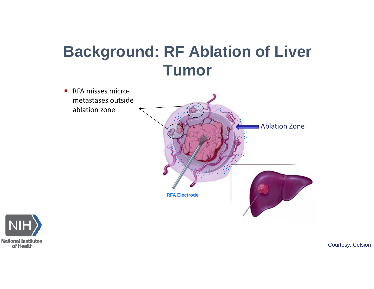# **Background: RF Ablation of Liver Tumor**

 $\mathbf{r}$ ■ RFA misses micrometastases outsideablation zone



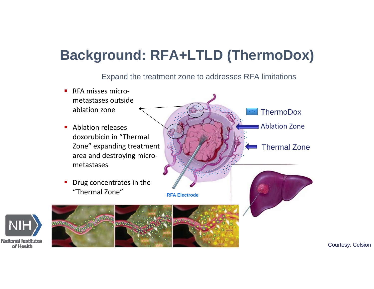#### **Background: RFA+LTLD (ThermoDox)**

Expand the treatment zone to addresses RFA limitations

П ■ RFA misses micrometastases outsideablation zone **Ablation releases** doxorubicin in "Thermal Zone" expanding treatment area and destroying micro‐ metastasesП Drug concentrates in the "Thermal Zone"Ablation Zone Thermal Zone**RFA ElectrodeThermoDox** 

**National Institutes** of Health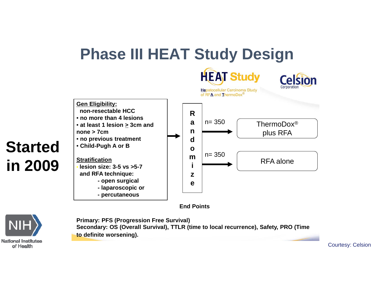## **Phase III HEAT Study Design**



**End Points** 



**Primary: PFS (Progression Free Survival) Secondary: OS (Overall Survival), TTLR (time to local recurrence), Safety, PRO (Time to definite worsening).**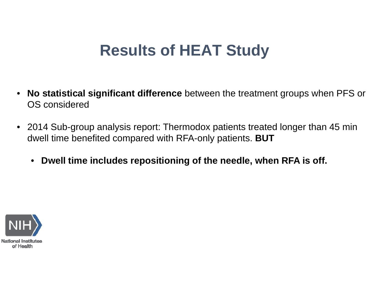# **Results of HEAT Study**

- $\bullet$  **No statistical significant difference** between the treatment groups when PFS or OS considered
- 2014 Sub-group analysis report: Thermodox patients treated longer than 45 min dwell time benefited compared with RFA-only patients. **BUT**
	- $\bullet$ **Dwell time includes repositioning of the needle, when RFA is off.**

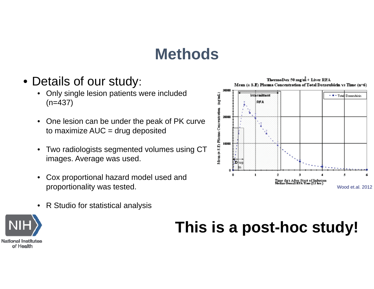## **Methods**

30000

 $(\mathtt{mgm})$ 

Mean (± S.E) Plasma Concentration

- Details of our study:
	- • Only single lesion patients were included (n=437)
	- $\bullet$  One lesion can be under the peak of PK curve to maximize  $AUC = drug$  deposited
	- $\bullet$  Two radiologists segmented volumes using CT images. Average was used.
	- $\bullet$  Cox proportional hazard model used and proportionality was tested.

**RFA** 20000 10000  $\overline{2}$ 5  $\mathbf{a}$ Time (hr) After Start of Infusion<br>Median Overall RFA Time (2.1 hrs ) Wood et.al. 2012

ThermoDox 50 mg/m<sup>2</sup> + Liver RFA Mean  $(\pm 5.E)$  Plasma Concentration of Total Doxorubicin vs Time  $(n=6)$ 

- Total Doxorubicin

R Studio for statistical analysis

 $\bullet$ 

**National Institutes** of Health

## **This is a post-hoc study!**

Intermittent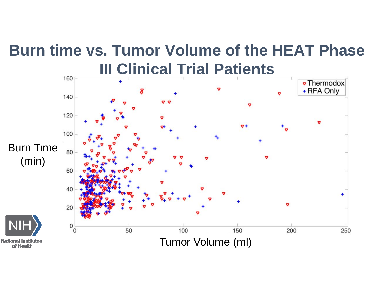## **Burn time vs. Tumor Volume of the HEAT Phase III Clinical Trial Patients**

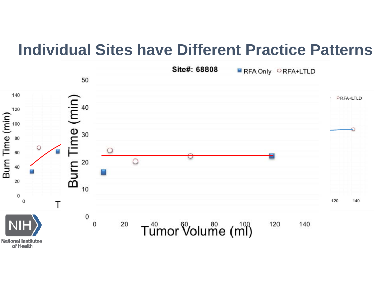#### **Individual Sites have Different Practice Patterns**

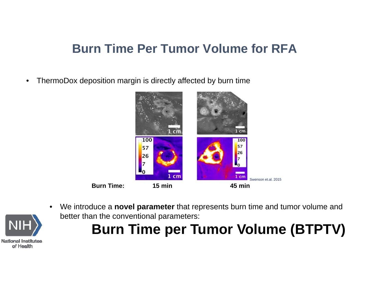#### **Burn Time Per Tumor Volume for RFA**

 $\bullet$ ThermoDox deposition margin is directly affected by burn time





•

 We introduce a **novel parameter** that represents burn time and tumor volume and better than the conventional parameters:

# **Burn Time per Tumor Volume (BTPTV)**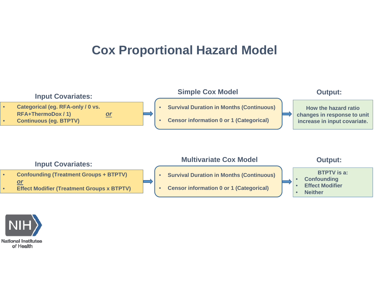#### **Cox Proportional Hazard Model**



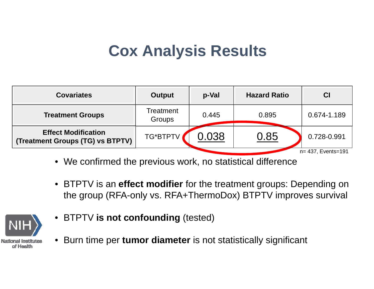## **Cox Analysis Results**

| <b>Covariates</b>                                              | <b>Output</b>       | p-Val | <b>Hazard Ratio</b> | CI          |  |  |
|----------------------------------------------------------------|---------------------|-------|---------------------|-------------|--|--|
| <b>Treatment Groups</b>                                        | Treatment<br>Groups | 0.445 | 0.895               | 0.674-1.189 |  |  |
| <b>Effect Modification</b><br>(Treatment Groups (TG) vs BTPTV) | TG*BTPTV            | 0.038 | 0.85                | 0.728-0.991 |  |  |
| n= 437, Events=191                                             |                     |       |                     |             |  |  |

- We confirmed the previous work, no statistical difference
- BTPTV is an **effect modifier** for the treatment groups: Depending on the group (RFA-only vs. RFA+ThermoDox) BTPTV improves survival



- BTPTV **is not confounding** (tested)
- Burn time per **tumor diameter** is not statistically significant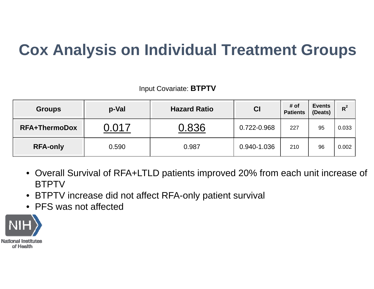# **Cox Analysis on Individual Treatment Groups**

Input Covariate: **BTPTV**

| <b>Groups</b>        | p-Val | <b>Hazard Ratio</b> | CI          | # of<br><b>Patients</b> | <b>Events</b><br>(Deats) | $R^2$ |
|----------------------|-------|---------------------|-------------|-------------------------|--------------------------|-------|
| <b>RFA+ThermoDox</b> | . 017 | 0.836               | 0.722-0.968 | 227                     | 95                       | 0.033 |
| <b>RFA-only</b>      | 0.590 | 0.987               | 0.940-1.036 | 210                     | 96                       | 0.002 |

- Overall Survival of RFA+LTLD patients improved 20% from each unit increase of **BTPTV**
- BTPTV increase did not affect RFA-only patient survival
- PFS was not affected

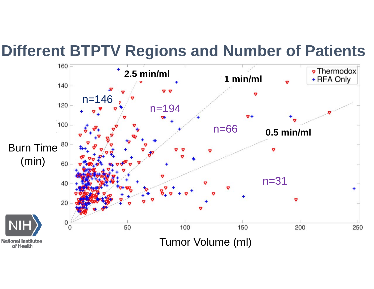## **Different BTPTV Regions and Number of Patients**

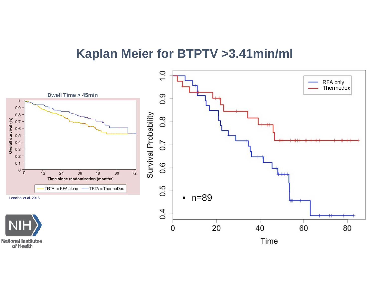#### **Kaplan Meier for BTPTV >3.41min/ml**